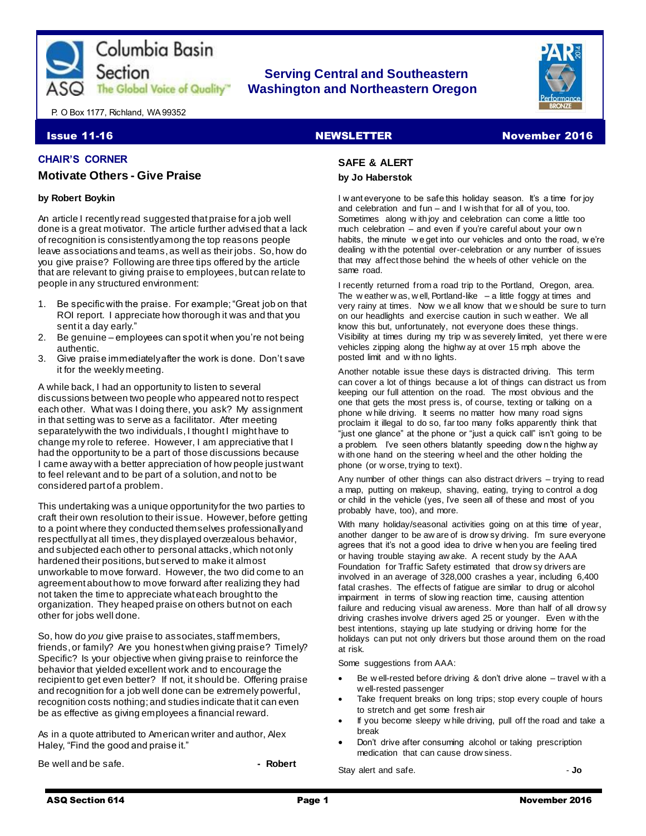

# **Serving Central and Southeastern The Global Voice of Quality"** Washington and Northeastern Oregon



P. O Box 1177, Richland, WA 99352

## **Issue 11-16** Newsome Newslett Research Newslett Research Newsome Newslett Research Newslett Research Newslett Research Newslett Research Newslett Research Newslett Research Newslett Research Newslett Research Newslett Res

#### **CHAIR'S CORNER**

#### **Motivate Others - Give Praise**

#### **by Robert Boykin**

An article I recently read suggested that praise for a job well done is a great motivator. The article further advised that a lack of recognition is consistently among the top reasons people leave associations and teams, as well as their jobs. So, how do you give praise? Following are three tips offered by the article that are relevant to giving praise to employees, but can relate to people in any structured environment:

- 1. Be specific with the praise. For example; "Great job on that ROI report. I appreciate how thorough it was and that you sent it a day early."
- 2. Be genuine employees can spot it when you're not being authentic.
- 3. Give praise immediately after the work is done. Don't save it for the weekly meeting.

A while back, I had an opportunity to listen to several discussions between two people who appeared not to respect each other. What was I doing there, you ask? My assignment in that setting was to serve as a facilitator. After meeting separately with the two individuals, I thought I might have to change my role to referee. However, I am appreciative that I had the opportunity to be a part of those discussions because I came away with a better appreciation of how people just want to feel relevant and to be part of a solution, and not to be considered part of a problem.

This undertaking was a unique opportunity for the two parties to craft their own resolution to their issue. However, before getting to a point where they conducted themselves professionally and respectfully at all times, they displayed overzealous behavior, and subjected each other to personal attacks, which not only hardened their positions, but served to make it almost unworkable to move forward. However, the two did come to an agreement about how to move forward after realizing they had not taken the time to appreciate what each brought to the organization. They heaped praise on others but not on each other for jobs well done.

So, how do *you* give praise to associates, staff members, friends, or family? Are you honest when giving praise? Timely? Specific? Is your objective when giving praise to reinforce the behavior that yielded excellent work and to encourage the recipient to get even better? If not, it should be. Offering praise and recognition for a job well done can be extremely powerful, recognition costs nothing;and studies indicate that it can even be as effective as giving employees a financial reward.

As in a quote attributed to American writer and author, Alex Haley, "Find the good and praise it."

Be well and be safe. **All and be safe.** All and the safe of the same of the same of the same of the same of the same of the same of the same of the same of the same of the same of the same of the same of the same of the sa

# **SAFE & ALERT**

# **by Jo Haberstok**

I w ant everyone to be safe this holiday season. It's a time for joy and celebration and fun – and I w ish that for all of you, too. Sometimes along w ith joy and celebration can come a little too much celebration – and even if you're careful about your own habits, the minute w e get into our vehicles and onto the road, w e're dealing w ith the potential over-celebration or any number of issues that may affect those behind the w heels of other vehicle on the same road.

I recently returned from a road trip to the Portland, Oregon, area. The w eather w as, w ell, Portland-like  $-$  a little foggy at times and very rainy at times. Now w e all know that w e should be sure to turn on our headlights and exercise caution in such w eather. We all know this but, unfortunately, not everyone does these things. Visibility at times during my trip w as severely limited, yet there w ere vehicles zipping along the highw ay at over 15 mph above the posted limit and w ith no lights.

Another notable issue these days is distracted driving. This term can cover a lot of things because a lot of things can distract us from keeping our full attention on the road. The most obvious and the one that gets the most press is, of course, texting or talking on a phone w hile driving. It seems no matter how many road signs proclaim it illegal to do so, far too many folks apparently think that "just one glance" at the phone or "just a quick call" isn't going to be a problem. I've seen others blatantly speeding dow n the highw ay w ith one hand on the steering w heel and the other holding the phone (or w orse, trying to text).

Any number of other things can also distract drivers – trying to read a map, putting on makeup, shaving, eating, trying to control a dog or child in the vehicle (yes, I've seen all of these and most of you probably have, too), and more.

With many holiday/seasonal activities going on at this time of year, another danger to be aw are of is drow sy driving. I'm sure everyone agrees that it's not a good idea to drive w hen you are feeling tired or having trouble staying aw ake. A recent study by the AAA Foundation for Traffic Safety estimated that drow sy drivers are involved in an average of 328,000 crashes a year, including 6,400 fatal crashes. The effects of fatigue are similar to drug or alcohol impairment in terms of slow ing reaction time, causing attention failure and reducing visual aw areness. More than half of all drow sy driving crashes involve drivers aged 25 or younger. Even w ith the best intentions, staying up late studying or driving home for the holidays can put not only drivers but those around them on the road at risk.

Some suggestions from AAA:

- Be w ell-rested before driving & don't drive alone travel w ith a w ell-rested passenger
- Take frequent breaks on long trips; stop every couple of hours to stretch and get some fresh air
- If you become sleepy w hile driving, pull off the road and take a break
- Don't drive after consuming alcohol or taking prescription medication that can cause drow siness.

Stay alert and safe. **If** a safe of  $\overline{a}$  and  $\overline{b}$  and  $\overline{c}$  and  $\overline{d}$  and  $\overline{b}$  and  $\overline{b}$  and  $\overline{a}$  and  $\overline{b}$  and  $\overline{a}$  and  $\overline{a}$  and  $\overline{a}$  and  $\overline{a}$  and  $\overline{a}$  and  $\overline{a}$  and  $\overline$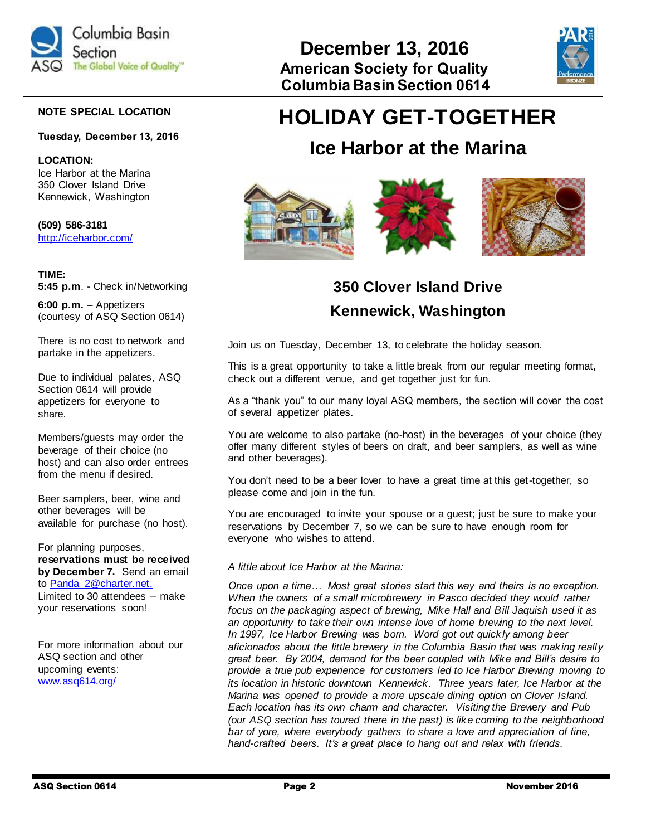

#### **NOTE SPECIAL LOCATION**

#### **Tuesday, December 13, 2016**

**LOCATION:** Ice Harbor at the Marina 350 Clover Island Drive Kennewick, Washington

**(509) 586-3181** <http://iceharbor.com/>

#### **TIME:**

**5:45 p.m**. - Check in/Networking

**6:00 p.m.** – Appetizers (courtesy of ASQ Section 0614)

There is no cost to network and partake in the appetizers.

Due to individual palates, ASQ Section 0614 will provide appetizers for everyone to share.

Members/guests may order the beverage of their choice (no host) and can also order entrees from the menu if desired.

Beer samplers, beer, wine and other beverages will be available for purchase (no host).

For planning purposes, **reservations must be received by December 7.** Send an email to Panda 2@charter.net. Limited to 30 attendees – make your reservations soon!

For more information about our ASQ section and other upcoming events: [www.asq614.org/](http://www.asq614.org/)



# **HOLIDAY GET-TOGETHER**

# **Ice Harbor at the Marina**



# **350 Clover Island Drive Kennewick, Washington**

Join us on Tuesday, December 13, to celebrate the holiday season.

This is a great opportunity to take a little break from our regular meeting format, check out a different venue, and get together just for fun.

As a "thank you" to our many loyal ASQ members, the section will cover the cost of several appetizer plates.

You are welcome to also partake (no-host) in the beverages of your choice (they offer many different styles of beers on draft, and beer samplers, as well as wine and other beverages).

You don't need to be a beer lover to have a great time at this get-together, so please come and join in the fun.

You are encouraged to invite your spouse or a guest; just be sure to make your reservations by December 7, so we can be sure to have enough room for everyone who wishes to attend.

#### *A little about Ice Harbor at the Marina:*

*Once upon a time… Most great stories start this way and theirs is no exception. When the owners of a small microbrewery in Pasco decided they would rather focus on the packaging aspect of brewing, Mike Hall and Bill Jaquish used it as an opportunity to take their own intense love of home brewing to the next level. In 1997, Ice Harbor Brewing was born. Word got out quickly among beer aficionados about the little brewery in the Columbia Basin that was making really great beer. By 2004, demand for the beer coupled with Mike and Bill's desire to provide a true pub experience for customers led to Ice Harbor Brewing moving to its location in historic downtown Kennewick. Three years later, Ice Harbor at the Marina was opened to provide a more upscale dining option on Clover Island. Each location has its own charm and character. Visiting the Brewery and Pub (our ASQ section has toured there in the past) is like coming to the neighborhood bar of yore, where everybody gathers to share a love and appreciation of fine, hand-crafted beers. It's a great place to hang out and relax with friends.*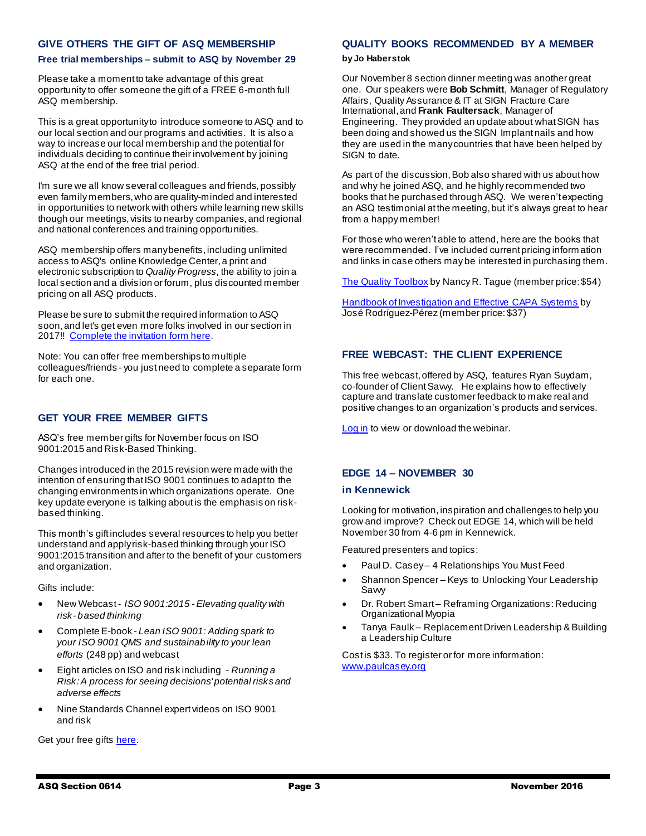#### **GIVE OTHERS THE GIFT OF ASQ MEMBERSHIP**

#### **Free trial memberships – submit to ASQ by November 29**

Please take a moment to take advantage of this great opportunity to offer someone the gift of a FREE 6-month full ASQ membership.

This is a great opportunity to introduce someone to ASQ and to our local section and our programs and activities. It is also a way to increase our local membership and the potential for individuals deciding to continue their involvement by joining ASQ at the end of the free trial period.

I'm sure we all know several colleagues and friends, possibly even family members, who are quality-minded and interested in opportunities to network with others while learning new skills though our meetings, visits to nearby companies, and regional and national conferences and training opportunities.

ASQ membership offers many benefits, including unlimited access to ASQ's online Knowledge Center, a print and electronic subscription to *Quality Progress*, the ability to join a local section and a division or forum, plus discounted member pricing on all ASQ products.

Please be sure to submit the required information to ASQ soon, and let's get even more folks involved in our section in 2017!! [Complete the invitation](https://asq.realmagnet.land/2016-anv-member-refer-landing-page?utm_source=email&utm_medium=email&utm_campaign=marketing_recruitment_110116_anvmemberem1) form here.

Note: You can offer free memberships to multiple colleagues/friends - you just need to complete a separate form for each one.

### **GET YOUR FREE MEMBER GIFTS**

ASQ's free member gifts for November focus on ISO 9001:2015 and Risk-Based Thinking.

Changes introduced in the 2015 revision were made with the intention of ensuring that ISO 9001 continues to adapt to the changing environments in which organizations operate. One key update everyone is talking about is the emphasis on riskbased thinking.

This month's gift includes several resources to help you better understand and apply risk-based thinking through your ISO 9001:2015 transition and after to the benefit of your customers and organization.

Gifts include:

- New Webcast *ISO 9001:2015 - Elevating quality with risk- based thinking*
- Complete E-book *Lean ISO 9001: Adding spark to your ISO 9001 QMS and sustainability to your lean efforts* (248 pp) and webcast
- Eight articles on ISO and risk including *- Running a Risk: A process for seeing decisions' potential risks and adverse effects*
- Nine Standards Channel expert videos on ISO 9001 and risk

**QUALITY BOOKS RECOMMENDED BY A MEMBER**

#### **by Jo Haberstok**

Our November 8 section dinner meeting was another great one. Our speakers were **Bob Schmitt**, Manager of Regulatory Affairs, Quality Assurance & IT at SIGN Fracture Care International, and **Frank Faultersack**, Manager of Engineering. They provided an update about what SIGN has been doing and showed us the SIGN Implant nails and how they are used in the many countries that have been helped by SIGN to date.

As part of the discussion, Bob also shared with us about how and why he joined ASQ, and he highly recommended two books that he purchased through ASQ. We weren't expecting an ASQ testimonial at the meeting, but it's always great to hear from a happy member!

For those who weren't able to attend, here are the books that were recommended. I've included current pricing inform ation and links in case others may be interested in purchasing them.

[The Quality Toolbox](http://asq.org/quality-press/display-item/index.html?item=H1224) by Nancy R. Tague (member price: \$54)

[Handbook of Investigation and Effective CAPA Systems](http://asq.org/quality-press/display-item/?item=H1504) by José Rodríguez-Pérez (member price: \$37)

## **FREE WEBCAST: THE CLIENT EXPERIENCE**

This free webcast, offered by ASQ, features Ryan Suydam, co-founder of Client Savvy. He explains how to effectively capture and translate customer feedback to make real and positive changes to an organization's products and services.

[Log in](http://asq.org/2016/10/customer-satisfaction-and-value/the-client-experience-matters-webcast.html) to view or download the webinar.

### **EDGE 14 – NOVEMBER 30**

#### **in Kennewick**

Looking for motivation, inspiration and challenges to help you grow and improve? Check out EDGE 14, which will be held November 30 from 4-6 pm in Kennewick.

Featured presenters and topics:

- Paul D. Casey 4 Relationships You Must Feed
- Shannon Spencer Keys to Unlocking Your Leadership Savvy
- Dr. Robert Smart Reframing Organizations: Reducing Organizational Myopia
- Tanya Faulk Replacement Driven Leadership & Building a Leadership Culture

Cost is \$33. To register or for more information: [www.paulcasey.org](http://www.paulcasey.org/)

Get your free gifts [here.](http://asq.org/member-gift/index.html)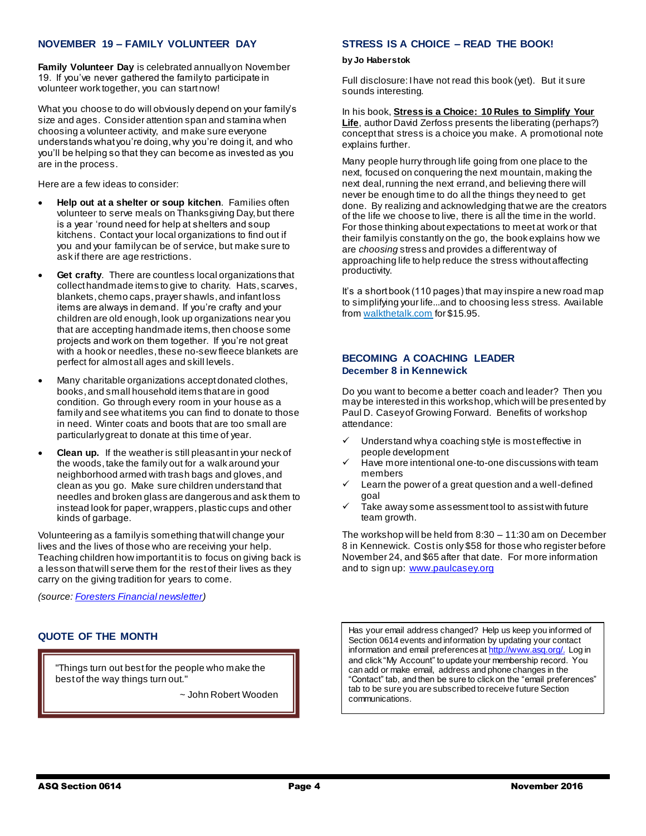### **NOVEMBER 19 – FAMILY VOLUNTEER DAY**

**Family Volunteer Day** is celebrated annually on November 19. If you've never gathered the family to participate in volunteer work together, you can start now!

What you choose to do will obviously depend on your family's size and ages. Consider attention span and stamina when choosing a volunteer activity, and make sure everyone understands what you're doing, why you're doing it, and who you'll be helping so that they can become as invested as you are in the process.

Here are a few ideas to consider:

- **Help out at a shelter or soup kitchen**. Families often volunteer to serve meals on Thanksgiving Day, but there is a year 'round need for help at shelters and soup kitchens. Contact your local organizations to find out if you and your family can be of service, but make sure to ask if there are age restrictions.
- **Get crafty**. There are countless local organizations that collect handmade items to give to charity. Hats, scarves, blankets, chemo caps, prayer shawls, and infant loss items are always in demand. If you're crafty and your children are old enough, look up organizations near you that are accepting handmade items, then choose some projects and work on them together. If you're not great with a hook or needles, thes[e no-sew fleece blankets](http://www.instructables.com/id/No-Sew-Fleece-Blanket-1/) are perfect for almost all ages and skill levels.
- Many charitable organizations accept donated clothes, books, and small household items that are in good condition. Go through every room in your house as a family and see what items you can find to donate to those in need. Winter coats and boots that are too small are particularly great to donate at this time of year.
- **Clean up.** If the weather is still pleasant in your neck of the woods, take the family out for a walk around your neighborhood armed with trash bags and gloves, and clean as you go. Make sure children understand that needles and broken glass are dangerous and ask them to instead look for paper, wrappers, plastic cups and other kinds of garbage.

Volunteering as a family is something that will change your lives and the lives of those who are receiving your help. Teaching children how important it is to focus on giving back is a lesson that will serve them for the rest of their lives as they carry on the giving tradition for years to come.

*(source[: Foresters Financial newsletter\)](http://www.membershipmatters.com/foresters-member-benefits/make-volunteering-a-family-affair/?utm_source=MM&utm_medium=email&utm_campaign=MM1116)*

# **QUOTE OF THE MONTH**

"Things turn out best for the people who make the best of the way things turn out."

~ John Robert Wooden

#### **STRESS IS A CHOICE – READ THE BOOK!**

#### **by Jo Haberstok**

Full disclosure: I have not read this book (yet). But it sure sounds interesting.

In his book, **Stress is a Choice: 10 Rules to Simplify Your Life**, author David Zerfoss presents the liberating (perhaps?) concept that stress is a choice you make. A promotional note explains further.

Many people hurry through life going from one place to the next, focused on conquering the next mountain, making the next deal, running the next errand, and believing there will never be enough time to do all the things they need to get done. By realizing and acknowledging that we are the creators of the life we choose to live, there is all the time in the world. For those thinking about expectations to meet at work or that their family is constantly on the go, the book explains how we are *choosing* stress and provides a different way of approaching life to help reduce the stress without affecting productivity.

It's a short book (110 pages) that may inspire a new road map to simplifying your life...and to choosing less stress. Available fro[m walkthetalk.com](http://www.walkthetalk.com/stress-is-a-choice-1.html) for \$15.95.

#### **BECOMING A COACHING LEADER December 8 in Kennewick**

Do you want to become a better coach and leader? Then you may be interested in this workshop, which will be presented by Paul D. Casey of Growing Forward. Benefits of workshop attendance:

- Understand why a coaching style is most effective in people development
- Have more intentional one-to-one discussions with team members
- Learn the power of a great question and a well-defined goal
- Take away some assessment tool to assist with future team growth.

The workshop will be held from 8:30 – 11:30 am on December 8 in Kennewick. Cost is only \$58 for those who register before November 24, and \$65 after that date. For more information and to sign up: [www.paulcasey.org](http://www.paulcasey.org/)

Has your email address changed? Help us keep you informed of Section 0614 events and information by updating your contact information and email preferences [at http://www.asq.org/.](http://www.asq.org/) Log in and click "My Account" to update your membership record. You can add or make email, address and phone changes in the "Contact" tab, and then be sure to click on the "email preferences" tab to be sure you are subscribed to receive future Section communications.